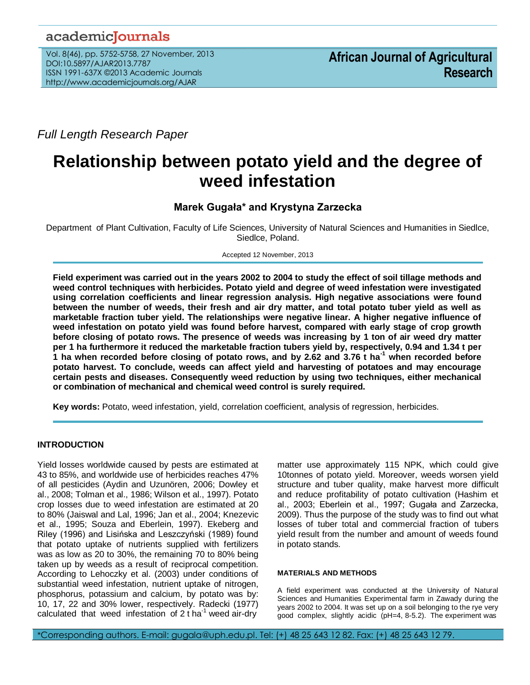# academicJournals

Vol. 8(46), pp. 5752-5758, 27 November, 2013 DOI:10.5897/AJAR2013.7787 ISSN 1991-637X ©2013 Academic Journals http://www.academicjournals.org/AJAR

*Full Length Research Paper*

# **Relationship between potato yield and the degree of weed infestation**

## **Marek Gugała\* and Krystyna Zarzecka**

Department of Plant Cultivation, Faculty of Life Sciences, University of Natural Sciences and Humanities in Siedlce, Siedlce, Poland.

Accepted 12 November, 2013

**Field experiment was carried out in the years 2002 to 2004 to study the effect of soil tillage methods and weed control techniques with herbicides. Potato yield and degree of weed infestation were investigated using correlation coefficients and linear regression analysis. High negative associations were found between the number of weeds, their fresh and air dry matter, and total potato tuber yield as well as marketable fraction tuber yield. The relationships were negative linear. A higher negative influence of weed infestation on potato yield was found before harvest, compared with early stage of crop growth before closing of potato rows. The presence of weeds was increasing by 1 ton of air weed dry matter per 1 ha furthermore it reduced the marketable fraction tubers yield by, respectively, 0.94 and 1.34 t per 1 ha when recorded before closing of potato rows, and by 2.62 and 3.76 t ha-1 when recorded before potato harvest. To conclude, weeds can affect yield and harvesting of potatoes and may encourage certain pests and diseases. Consequently weed reduction by using two techniques, either mechanical or combination of mechanical and chemical weed control is surely required.** 

**Key words:** Potato, weed infestation, yield, correlation coefficient, analysis of regression, herbicides.

### **INTRODUCTION**

Yield losses worldwide caused by pests are estimated at 43 to 85%, and worldwide use of herbicides reaches 47% of all pesticides (Aydin and Uzunören, 2006; Dowley et al., 2008; Tolman et al., 1986; Wilson et al., 1997). Potato crop losses due to weed infestation are estimated at 20 to 80% (Jaiswal and Lal, 1996; Jan et al., 2004; Knezevic et al., 1995; Souza and Eberlein, 1997). Ekeberg and Riley (1996) and Lisińska and Leszczyński (1989) found that potato uptake of nutrients supplied with fertilizers was as low as 20 to 30%, the remaining 70 to 80% being taken up by weeds as a result of reciprocal competition. According to Lehoczky et al. (2003) under conditions of substantial weed infestation, nutrient uptake of nitrogen, phosphorus, potassium and calcium, by potato was by: 10, 17, 22 and 30% lower, respectively. Radecki (1977) calculated that weed infestation of  $2$  t ha<sup>-1</sup> weed air-dry

matter use approximately 115 NPK, which could give 10tonnes of potato yield. Moreover, weeds worsen yield structure and tuber quality, make harvest more difficult and reduce profitability of potato cultivation (Hashim et al., 2003; Eberlein et al., 1997; Gugała and Zarzecka, 2009). Thus the purpose of the study was to find out what losses of tuber total and commercial fraction of tubers yield result from the number and amount of weeds found in potato stands.

#### **MATERIALS AND METHODS**

A field experiment was conducted at the University of Natural Sciences and Humanities Experimental farm in Zawady during the years 2002 to 2004. It was set up on a soil belonging to the rye very good complex, slightly acidic (pH=4, 8-5.2). The experiment was

\*Corresponding authors. E-mail: gugala@uph.edu.pl. Tel: (+) 48 25 643 12 82. Fax: (+) 48 25 643 12 79.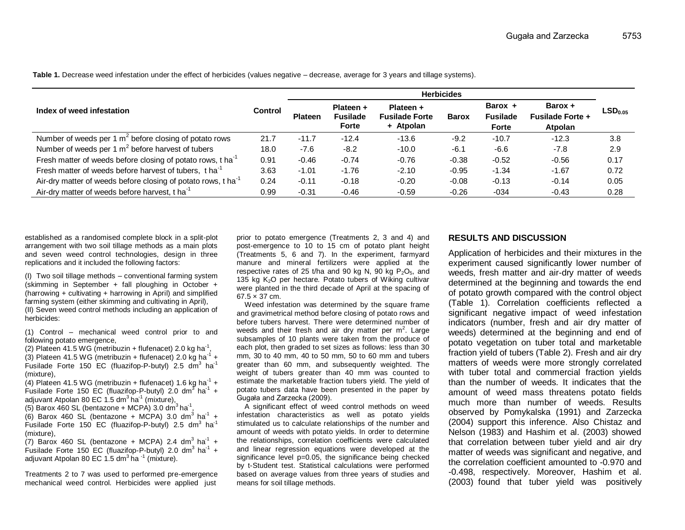|                                                                           | <b>Control</b> | <b>Herbicides</b> |                                              |                                                 |              |                                            |                                               |                       |
|---------------------------------------------------------------------------|----------------|-------------------|----------------------------------------------|-------------------------------------------------|--------------|--------------------------------------------|-----------------------------------------------|-----------------------|
| Index of weed infestation                                                 |                | <b>Plateen</b>    | Plateen +<br><b>Fusilade</b><br><b>Forte</b> | Plateen +<br><b>Fusilade Forte</b><br>+ Atpolan | <b>Barox</b> | Barox +<br><b>Fusilade</b><br><b>Forte</b> | Barox +<br><b>Fusilade Forte +</b><br>Atpolan | $\mathsf{LSD}_{0.05}$ |
| Number of weeds per 1 $m2$ before closing of potato rows                  | 21.7           | $-11.7$           | $-12.4$                                      | $-13.6$                                         | $-9.2$       | $-10.7$                                    | $-12.3$                                       | 3.8                   |
| Number of weeds per 1 $m2$ before harvest of tubers                       | 18.0           | $-7.6$            | $-8.2$                                       | $-10.0$                                         | $-6.1$       | $-6.6$                                     | $-7.8$                                        | 2.9                   |
| Fresh matter of weeds before closing of potato rows, t ha <sup>-1</sup>   | 0.91           | $-0.46$           | $-0.74$                                      | $-0.76$                                         | $-0.38$      | $-0.52$                                    | $-0.56$                                       | 0.17                  |
| Fresh matter of weeds before harvest of tubers, t ha <sup>-1</sup>        | 3.63           | $-1.01$           | $-1.76$                                      | $-2.10$                                         | $-0.95$      | $-1.34$                                    | $-1.67$                                       | 0.72                  |
| Air-dry matter of weeds before closing of potato rows, t ha <sup>-1</sup> | 0.24           | $-0.11$           | $-0.18$                                      | $-0.20$                                         | $-0.08$      | $-0.13$                                    | $-0.14$                                       | 0.05                  |
| Air-dry matter of weeds before harvest, t ha                              | 0.99           | $-0.31$           | $-0.46$                                      | $-0.59$                                         | $-0.26$      | $-034$                                     | $-0.43$                                       | 0.28                  |

**Table 1.** Decrease weed infestation under the effect of herbicides (values negative – decrease, average for 3 years and tillage systems).

established as a randomised complete block in a split-plot arrangement with two soil tillage methods as a main plots and seven weed control technologies, design in three replications and it included the following factors:

(I) Two soil tillage methods – conventional farming system (skimming in September + fall ploughing in October + (harrowing + cultivating + harrowing in April) and simplified farming system (either skimming and cultivating in April), (II) Seven weed control methods including an application of herbicides:

(1) Control – mechanical weed control prior to and following potato emergence,

(2) Plateen 41.5 WG (metribuzin + flufenacet) 2.0 kg ha<sup>-1</sup>,

(3) Plateen 41.5 WG (metribuzin + flufenacet) 2.0 kg ha<sup>-1</sup> + Fusilade Forte 150 EC (fluazifop-P-butyl)  $2.5 \text{ dm}^3$  ha<sup>-1</sup> (mixture),

(4) Plateen 41.5 WG (metribuzin + flufenacet) 1.6 kg ha<sup>-1</sup> + Fusilade Forte 150 EC (fluazifop-P-butyl) 2.0 dm<sup>3</sup> ha<sup>-1</sup> + adjuvant Atpolan 80 EC 1.5 dm<sup>3</sup> ha<sup>-1</sup> (mixture),

(5) Barox 460 SL (bentazone + MCPA) 3.0  $\text{dm}^3$  ha<sup>-1</sup> ,  $(6)$  Barox 460 SL (bentazone + MCPA) 3.0 dm<sup>3</sup> ha<sup>-1</sup> +

Fusilade Forte 150 EC (fluazifop-P-butyl) 2.5 dm<sup>3</sup> ha<sup>-1</sup> (mixture),

 $(7)$  Barox 460 SL (bentazone + MCPA) 2.4 dm<sup>3</sup> ha<sup>-1</sup> + Fusilade Forte 150 EC (fluazifop-P-butyl) 2.0 dm<sup>3</sup> ha<sup>-1</sup> + adjuvant Atpolan 80 EC 1.5 dm $3$  ha  $^{-1}$  (mixture).

Treatments 2 to 7 was used to performed pre-emergence mechanical weed control. Herbicides were applied just

prior to potato emergence (Treatments 2, 3 and 4) and post-emergence to 10 to 15 cm of potato plant height (Treatments 5, 6 and 7). In the experiment, farmyard manure and mineral fertilizers were applied at the respective rates of 25 t/ha and 90 kg N,  $90$  kg P<sub>2</sub>O<sub>5</sub>, and 135 kg K2O per hectare. Potato tubers of Wiking cultivar were planted in the third decade of April at the spacing of  $67.5 \times 37$  cm.

Weed infestation was determined by the square frame and gravimetrical method before closing of potato rows and before tubers harvest. There were determined number of weeds and their fresh and air dry matter per  $m^2$ . Large subsamples of 10 plants were taken from the produce of each plot, then graded to set sizes as follows: less than 30 mm, 30 to 40 mm, 40 to 50 mm, 50 to 60 mm and tubers greater than 60 mm, and subsequently weighted. The weight of tubers greater than 40 mm was counted to estimate the marketable fraction tubers yield. The yield of potato tubers data have been presented in the paper by Gugała and Zarzecka (2009).

A significant effect of weed control methods on weed infestation characteristics as well as potato yields stimulated us to calculate relationships of the number and amount of weeds with potato yields. In order to determine the relationships, correlation coefficients were calculated and linear regression equations were developed at the significance level p=0.05, the significance being checked by t-Student test. Statistical calculations were performed based on average values from three years of studies and means for soil tillage methods.

#### **RESULTS AND DISCUSSION**

Application of herbicides and their mixtures in the experiment caused significantly lower number of weeds, fresh matter and air-dry matter of weeds determined at the beginning and towards the end of potato growth compared with the control object (Table 1). Correlation coefficients reflected a significant negative impact of weed infestation indicators (number, fresh and air dry matter of weeds) determined at the beginning and end of potato vegetation on tuber total and marketable fraction yield of tubers (Table 2). Fresh and air dry matters of weeds were more strongly correlated with tuber total and commercial fraction yields than the number of weeds. It indicates that the amount of weed mass threatens potato fields much more than number of weeds. Results observed by Pomykalska (1991) and Zarzecka (2004) support this inference. Also Chistaz and Nelson (1983) and Hashim et al. (2003) showed that correlation between tuber yield and air dry matter of weeds was significant and negative, and the correlation coefficient amounted to -0.970 and -0.498, respectively. Moreover, Hashim et al. (2003) found that tuber yield was positively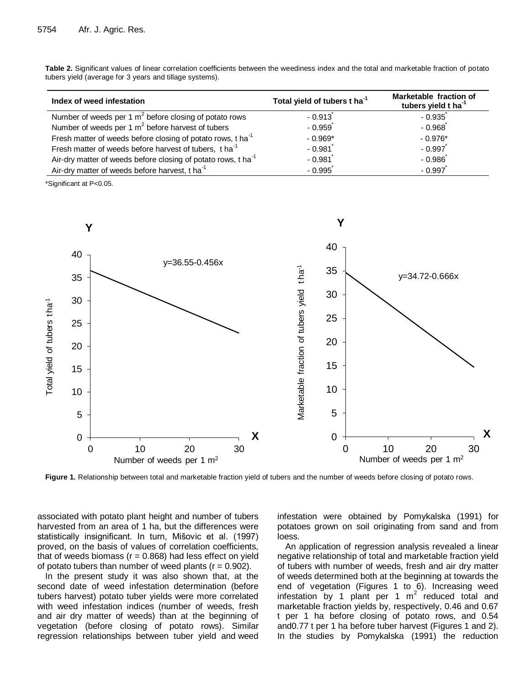| Index of weed infestation                                               | Total yield of tubers t ha <sup>-1</sup> | Marketable fraction of<br>tubers yield t ha <sup>-1</sup> |  |
|-------------------------------------------------------------------------|------------------------------------------|-----------------------------------------------------------|--|
| Number of weeds per 1 $m2$ before closing of potato rows                | $-0.913$                                 | $-0.935$                                                  |  |
| Number of weeds per 1 $m2$ before harvest of tubers                     | $-0.959$                                 | $-0.968$                                                  |  |
| Fresh matter of weeds before closing of potato rows, t ha <sup>-1</sup> | $-0.969*$                                | $-0.976*$                                                 |  |
| Fresh matter of weeds before harvest of tubers, t ha <sup>-1</sup>      | $-0.981$                                 | $-0.997$                                                  |  |

 $-0.981$ <sup>\*</sup>

 $-0.995$ 

 $-0.986$ 

 $-0.997$ 

**Table 2.** Significant values of linear correlation coefficients between the weediness index and the total and marketable fraction of potato tubers yield (average for 3 years and tillage systems).

\*Significant at P<0.05.

Air-dry matter of weeds before closing of potato rows,  $t$  ha<sup>-1</sup>

Air-dry matter of weeds before harvest, t ha<sup>-1</sup>



**Figure 1.** Relationship between total and marketable fraction yield of tubers and the number of weeds before closing of potato rows.

associated with potato plant height and number of tubers harvested from an area of 1 ha, but the differences were statistically insignificant. In turn, Mišovic et al. (1997) proved, on the basis of values of correlation coefficients, that of weeds biomass  $(r = 0.868)$  had less effect on yield of potato tubers than number of weed plants ( $r = 0.902$ ).

In the present study it was also shown that, at the second date of weed infestation determination (before tubers harvest) potato tuber yields were more correlated with weed infestation indices (number of weeds, fresh and air dry matter of weeds) than at the beginning of vegetation (before closing of potato rows). Similar regression relationships between tuber yield and weed infestation were obtained by Pomykalska (1991) for potatoes grown on soil originating from sand and from loess.

An application of regression analysis revealed a linear negative relationship of total and marketable fraction yield of tubers with number of weeds, fresh and air dry matter of weeds determined both at the beginning at towards the end of vegetation (Figures 1 to 6). Increasing weed infestation by 1 plant per 1  $m^2$  reduced total and marketable fraction yields by, respectively, 0.46 and 0.67 t per 1 ha before closing of potato rows, and 0.54 and0.77 t per 1 ha before tuber harvest (Figures 1 and 2). In the studies by Pomykalska (1991) the reduction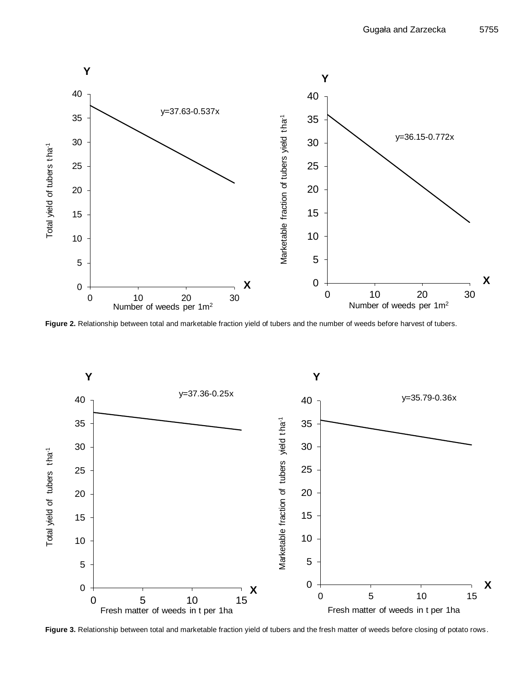

**Figure 2.** Relationship between total and marketable fraction yield of tubers and the number of weeds before harvest of tubers.

![](_page_3_Figure_3.jpeg)

**Figure 3.** Relationship between total and marketable fraction yield of tubers and the fresh matter of weeds before closing of potato rows.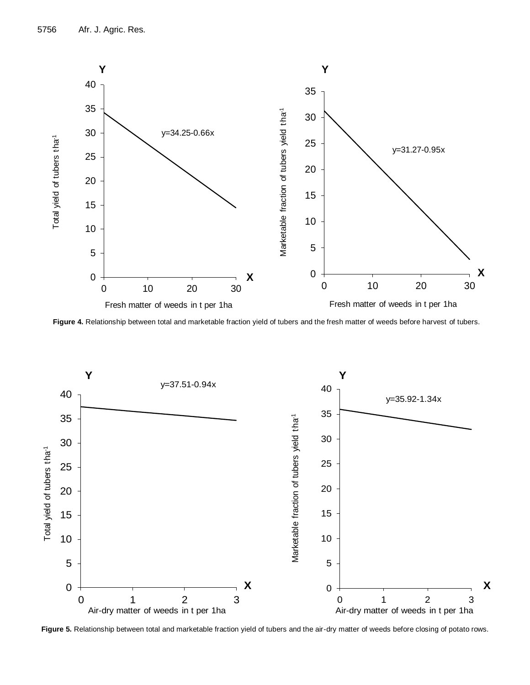![](_page_4_Figure_1.jpeg)

**Figure 4.** Relationship between total and marketable fraction yield of tubers and the fresh matter of weeds before harvest of tubers.

![](_page_4_Figure_3.jpeg)

**Figure 5.** Relationship between total and marketable fraction yield of tubers and the air-dry matter of weeds before closing of potato rows.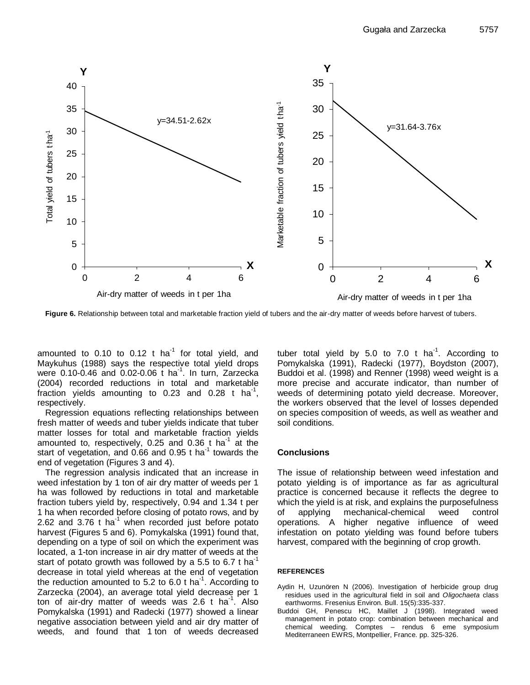![](_page_5_Figure_1.jpeg)

**Figure 6.** Relationship between total and marketable fraction yield of tubers and the air-dry matter of weeds before harvest of tubers.

amounted to 0.10 to 0.12 t ha $^{-1}$  for total yield, and Maykuhus (1988) says the respective total yield drops were 0.10-0.46 and 0.02-0.06 t ha<sup>-1</sup>. In turn, Zarzecka (2004) recorded reductions in total and marketable fraction yields amounting to 0.23 and 0.28 t ha<sup>-1</sup>, respectively.

Regression equations reflecting relationships between fresh matter of weeds and tuber yields indicate that tuber matter losses for total and marketable fraction yields amounted to, respectively, 0.25 and 0.36 t ha<sup>-1</sup> at the start of vegetation, and 0.66 and 0.95  $t$  ha<sup>-1</sup> towards the end of vegetation (Figures 3 and 4).

The regression analysis indicated that an increase in weed infestation by 1 ton of air dry matter of weeds per 1 ha was followed by reductions in total and marketable fraction tubers yield by, respectively, 0.94 and 1.34 t per 1 ha when recorded before closing of potato rows, and by 2.62 and 3.76 t ha<sup>-1</sup> when recorded just before potato harvest (Figures 5 and 6). Pomykalska (1991) found that, depending on a type of soil on which the experiment was located, a 1-ton increase in air dry matter of weeds at the start of potato growth was followed by a 5.5 to 6.7 t ha<sup>-1</sup> decrease in total yield whereas at the end of vegetation the reduction amounted to 5.2 to 6.0 t ha<sup>-1</sup>. According to Zarzecka (2004), an average total yield decrease per 1 ton of air-dry matter of weeds was 2.6  $t$  ha<sup>-1</sup>. Also Pomykalska (1991) and Radecki (1977) showed a linear negative association between yield and air dry matter of weeds, and found that 1 ton of weeds decreased

tuber total yield by 5.0 to 7.0  $t$  ha<sup>-1</sup>. According to Pomykalska (1991), Radecki (1977), Boydston (2007), Buddoi et al. (1998) and Renner (1998) weed weight is a more precise and accurate indicator, than number of weeds of determining potato yield decrease. Moreover, the workers observed that the level of losses depended on species composition of weeds, as well as weather and soil conditions.

#### **Conclusions**

The issue of relationship between weed infestation and potato yielding is of importance as far as agricultural practice is concerned because it reflects the degree to which the yield is at risk, and explains the purposefulness of applying mechanical-chemical weed control operations. A higher negative influence of weed infestation on potato yielding was found before tubers harvest, compared with the beginning of crop growth.

#### **REFERENCES**

- Aydin H, Uzunören N (2006). Investigation of herbicide group drug residues used in the agricultural field in soil and *Oligochaeta* class earthworms. Fresenius Environ. Bull. 15(5):335-337.
- Buddoi GH, Penescu HC, Maillet J (1998). Integrated weed management in potato crop: combination between mechanical and chemical weeding. Comptes – rendus 6 eme symposium Mediterraneen EWRS, Montpellier, France. pp. 325-326.